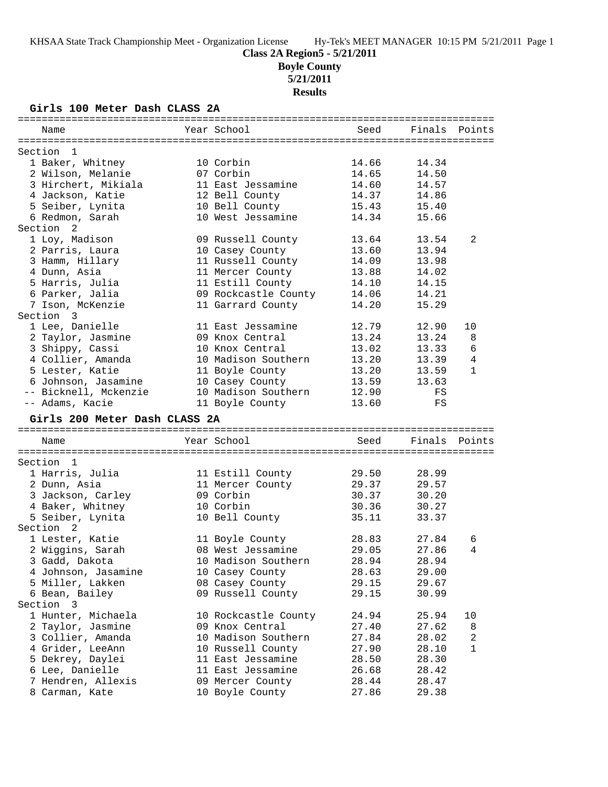**Boyle County**

**5/21/2011**

**Results**

### **Girls 100 Meter Dash CLASS 2A**

| Name                                 | Year School                         | Seed           | Finals         | Points         |
|--------------------------------------|-------------------------------------|----------------|----------------|----------------|
|                                      |                                     |                |                |                |
| Section<br>- 1                       |                                     |                |                |                |
| 1 Baker, Whitney                     | 10 Corbin                           | 14.66          | 14.34          |                |
| 2 Wilson, Melanie                    | 07 Corbin                           | 14.65          | 14.50          |                |
| 3 Hirchert, Mikiala                  | 11 East Jessamine                   | 14.60          | 14.57          |                |
| 4 Jackson, Katie                     | 12 Bell County                      | 14.37          | 14.86          |                |
| 5 Seiber, Lynita                     | 10 Bell County                      | 15.43          | 15.40          |                |
| 6 Redmon, Sarah                      | 10 West Jessamine                   | 14.34          | 15.66          |                |
| Section<br>2                         |                                     |                |                |                |
| 1 Loy, Madison                       | 09 Russell County                   | 13.64          | 13.54          | 2              |
| 2 Parris, Laura                      | 10 Casey County                     | 13.60          | 13.94          |                |
| 3 Hamm, Hillary                      | 11 Russell County                   | 14.09          | 13.98          |                |
| 4 Dunn, Asia                         | 11 Mercer County                    | 13.88          | 14.02          |                |
| 5 Harris, Julia                      | 11 Estill County                    | 14.10          | 14.15          |                |
| 6 Parker, Jalia                      | 09 Rockcastle County                | 14.06          | 14.21          |                |
| 7 Ison, McKenzie                     | 11 Garrard County                   | 14.20          | 15.29          |                |
| Section 3                            |                                     |                |                |                |
| 1 Lee, Danielle                      | 11 East Jessamine                   | 12.79          | 12.90          | 10             |
| 2 Taylor, Jasmine                    | 09 Knox Central                     | 13.24          | 13.24          | 8              |
| 3 Shippy, Cassi                      | 10 Knox Central                     | 13.02          | 13.33          | $\epsilon$     |
| 4 Collier, Amanda                    | 10 Madison Southern                 | 13.20          | 13.39          | $\overline{4}$ |
| 5 Lester, Katie                      | 11 Boyle County                     | 13.20          | 13.59          | $\mathbf{1}$   |
| 6 Johnson, Jasamine                  | 10 Casey County                     | 13.59          | 13.63          |                |
| -- Bicknell, Mckenzie                | 10 Madison Southern                 | 12.90          | FS             |                |
| -- Adams, Kacie                      | 11 Boyle County                     | 13.60          | FS             |                |
| Girls 200 Meter Dash CLASS 2A        |                                     |                |                |                |
| Name                                 | Year School                         | Seed           | Finals         | Points         |
|                                      |                                     |                |                |                |
| Section<br>- 1                       |                                     |                |                |                |
| 1 Harris, Julia                      | 11 Estill County                    | 29.50          | 28.99          |                |
| 2 Dunn, Asia                         | 11 Mercer County                    | 29.37          | 29.57          |                |
| 3 Jackson, Carley                    | 09 Corbin                           | 30.37          | 30.20          |                |
| 4 Baker, Whitney                     | 10 Corbin                           | 30.36          | 30.27          |                |
| 5 Seiber, Lynita                     | 10 Bell County                      | 35.11          | 33.37          |                |
| Section<br>2                         |                                     |                |                |                |
| 1 Lester, Katie                      | 11 Boyle County                     | 28.83          | 27.84          | 6              |
| 2 Wiggins, Sarah                     | 08 West Jessamine                   | 29.05          | 27.86          | 4              |
| 3 Gadd, Dakota                       | 10 Madison Southern                 | 28.94          | 28.94          |                |
| 4 Johnson, Jasamine                  | 10 Casey County                     | 28.63          | 29.00          |                |
| 5 Miller, Lakken                     | 08 Casey County                     | 29.15          | 29.67          |                |
| 6 Bean, Bailey                       | 09 Russell County                   | 29.15          | 30.99          |                |
| Section 3                            |                                     |                |                |                |
| 1 Hunter, Michaela                   | 10 Rockcastle County                | 24.94          | 25.94          | 10             |
| 2 Taylor, Jasmine                    | 09 Knox Central                     | 27.40          | 27.62          | 8              |
| 3 Collier, Amanda                    | 10 Madison Southern                 | 27.84          | 28.02          | 2              |
| 4 Grider, LeeAnn                     | 10 Russell County                   | 27.90          | 28.10          | 1              |
| 5 Dekrey, Daylei                     | 11 East Jessamine                   | 28.50          | 28.30          |                |
|                                      |                                     |                |                |                |
| 6 Lee, Danielle                      | 11 East Jessamine                   | 26.68          | 28.42          |                |
| 7 Hendren, Allexis<br>8 Carman, Kate | 09 Mercer County<br>10 Boyle County | 28.44<br>27.86 | 28.47<br>29.38 |                |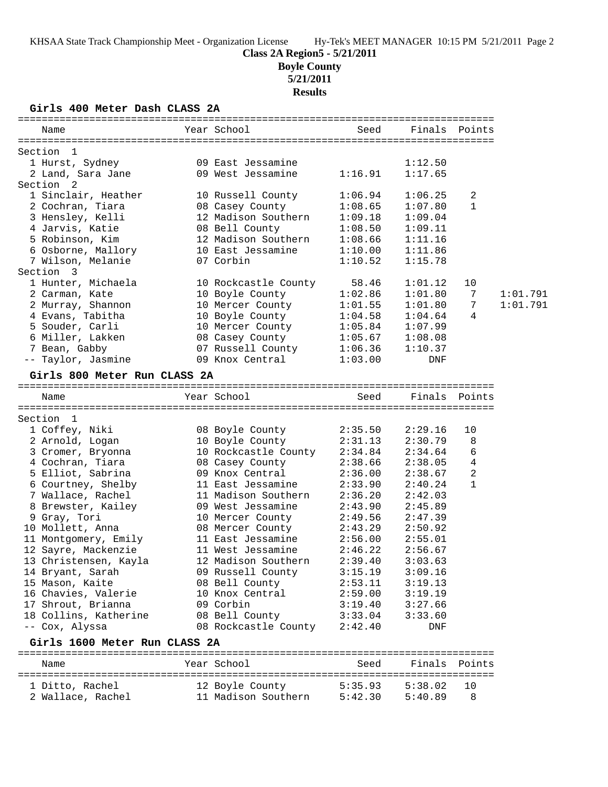# **Boyle County**

**5/21/2011**

### **Results**

**Girls 400 Meter Dash CLASS 2A**

| Name                          | Year School          | Seed               | Finals Points      |                |          |
|-------------------------------|----------------------|--------------------|--------------------|----------------|----------|
| Section 1                     |                      |                    |                    |                |          |
| 1 Hurst, Sydney               | 09 East Jessamine    |                    | 1:12.50            |                |          |
| 2 Land, Sara Jane             | 09 West Jessamine    | 1:16.91            | 1:17.65            |                |          |
| Section 2                     |                      |                    |                    |                |          |
| 1 Sinclair, Heather           | 10 Russell County    | 1:06.94            | 1:06.25            | 2              |          |
| 2 Cochran, Tiara              | 08 Casey County      | 1:08.65            | 1:07.80            | $\mathbf{1}$   |          |
| 3 Hensley, Kelli              | 12 Madison Southern  | 1:09.18            | 1:09.04            |                |          |
| 4 Jarvis, Katie               | 08 Bell County       | 1:08.50            | 1:09.11            |                |          |
| 5 Robinson, Kim               | 12 Madison Southern  | 1:08.66            | 1:11.16            |                |          |
| 6 Osborne, Mallory            | 10 East Jessamine    | 1:10.00            | 1:11.86            |                |          |
| 7 Wilson, Melanie             | 07 Corbin            | 1:10.52            | 1:15.78            |                |          |
| Section 3                     |                      |                    |                    |                |          |
| 1 Hunter, Michaela            | 10 Rockcastle County | 58.46              | 1:01.12            | 10             |          |
| 2 Carman, Kate                | 10 Boyle County      | 1:02.86            | 1:01.80            | 7              | 1:01.791 |
| 2 Murray, Shannon             | 10 Mercer County     | 1:01.55            | 1:01.80            | 7              | 1:01.791 |
| 4 Evans, Tabitha              | 10 Boyle County      | 1:04.58            | 1:04.64            | 4              |          |
| 5 Souder, Carli               | 10 Mercer County     | 1:05.84            | 1:07.99            |                |          |
| 6 Miller, Lakken              | 08 Casey County      |                    |                    |                |          |
|                               | 07 Russell County    | 1:05.67<br>1:06.36 | 1:08.08<br>1:10.37 |                |          |
| 7 Bean, Gabby                 | 09 Knox Central      |                    |                    |                |          |
| -- Taylor, Jasmine            |                      | 1:03.00            | DNF                |                |          |
| Girls 800 Meter Run CLASS 2A  |                      |                    |                    |                |          |
| Name                          | Year School          | Seed               | Finals Points      |                |          |
|                               |                      |                    |                    |                |          |
| Section 1                     |                      |                    |                    |                |          |
| 1 Coffey, Niki                | 08 Boyle County      | 2:35.50            | 2:29.16            | 10             |          |
| 2 Arnold, Logan               | 10 Boyle County      | 2:31.13            | 2:30.79            | 8              |          |
| 3 Cromer, Bryonna             | 10 Rockcastle County | 2:34.84            | 2:34.64            | 6              |          |
| 4 Cochran, Tiara              | 08 Casey County      | 2:38.66            | 2:38.05            | $\overline{4}$ |          |
| 5 Elliot, Sabrina             | 09 Knox Central      | 2:36.00            | 2:38.67            | 2              |          |
| 6 Courtney, Shelby            | 11 East Jessamine    | 2:33.90            | 2:40.24            | 1              |          |
| 7 Wallace, Rachel             | 11 Madison Southern  | 2:36.20            | 2:42.03            |                |          |
| 8 Brewster, Kailey            | 09 West Jessamine    | 2:43.90            | 2:45.89            |                |          |
| 9 Gray, Tori                  | 10 Mercer County     | 2:49.56            | 2:47.39            |                |          |
| 10 Mollett, Anna              | 08 Mercer County     | 2:43.29            | 2:50.92            |                |          |
| 11 Montgomery, Emily          | 11 East Jessamine    | 2:56.00            | 2:55.01            |                |          |
| 12 Sayre, Mackenzie           | 11 West Jessamine    | 2:46.22            | 2:56.67            |                |          |
| 13 Christensen, Kayla         | 12 Madison Southern  | 2:39.40            | 3:03.63            |                |          |
| 14 Bryant, Sarah              | 09 Russell County    | 3:15.19            | 3:09.16            |                |          |
| 15 Mason, Kaite               | 08 Bell County       | 2:53.11            | 3:19.13            |                |          |
| 16 Chavies, Valerie           | 10 Knox Central      | 2:59.00            | 3:19.19            |                |          |
| 17 Shrout, Brianna            | 09 Corbin            | 3:19.40            | 3:27.66            |                |          |
| 18 Collins, Katherine         | 08 Bell County       | 3:33.04            | 3:33.60            |                |          |
| -- Cox, Alyssa                | 08 Rockcastle County | 2:42.40            | DNF                |                |          |
| Girls 1600 Meter Run CLASS 2A |                      |                    |                    |                |          |
| Name                          | Year School          | Seed               | Finals             | Points         |          |
|                               |                      |                    |                    | ==========     |          |
| 1 Ditto, Rachel               | 12 Boyle County      | 5:35.93            | 5:38.02            | 10             |          |
| 2 Wallace, Rachel             | 11 Madison Southern  | 5:42.30            | 5:40.89            | 8              |          |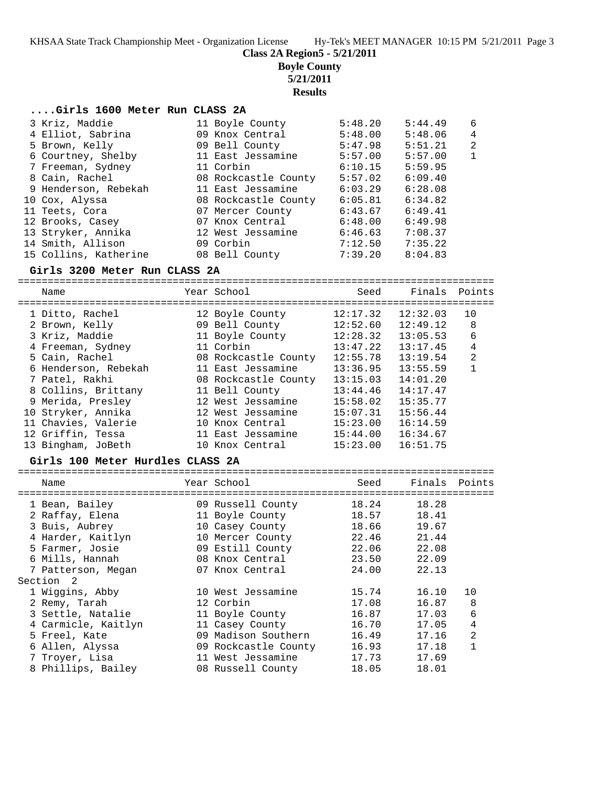**Class 2A Region5 - 5/21/2011**

**Boyle County**

**5/21/2011**

**Results**

### **....Girls 1600 Meter Run CLASS 2A**

|                                                                                                                                                                                                                                                                        | 5:48.20                                                                                                                                                                                                                                                | 5:44.49 | 6              |
|------------------------------------------------------------------------------------------------------------------------------------------------------------------------------------------------------------------------------------------------------------------------|--------------------------------------------------------------------------------------------------------------------------------------------------------------------------------------------------------------------------------------------------------|---------|----------------|
|                                                                                                                                                                                                                                                                        | 5:48.00                                                                                                                                                                                                                                                | 5:48.06 | 4              |
|                                                                                                                                                                                                                                                                        | 5:47.98                                                                                                                                                                                                                                                | 5:51.21 | $\overline{2}$ |
|                                                                                                                                                                                                                                                                        | 5:57.00                                                                                                                                                                                                                                                | 5:57.00 | $\mathbf{1}$   |
|                                                                                                                                                                                                                                                                        | 6:10.15                                                                                                                                                                                                                                                | 5:59.95 |                |
|                                                                                                                                                                                                                                                                        | 5:57.02                                                                                                                                                                                                                                                | 6:09.40 |                |
|                                                                                                                                                                                                                                                                        | 6:03.29                                                                                                                                                                                                                                                | 6:28.08 |                |
|                                                                                                                                                                                                                                                                        | 6:05.81                                                                                                                                                                                                                                                | 6:34.82 |                |
|                                                                                                                                                                                                                                                                        | 6:43.67                                                                                                                                                                                                                                                | 6:49.41 |                |
|                                                                                                                                                                                                                                                                        | 6:48.00                                                                                                                                                                                                                                                | 6:49.98 |                |
|                                                                                                                                                                                                                                                                        | 6:46.63                                                                                                                                                                                                                                                | 7:08.37 |                |
|                                                                                                                                                                                                                                                                        | 7:12.50                                                                                                                                                                                                                                                | 7:35.22 |                |
|                                                                                                                                                                                                                                                                        | 7:39.20                                                                                                                                                                                                                                                | 8:04.83 |                |
| 3 Kriz, Maddie<br>4 Elliot, Sabrina<br>5 Brown, Kelly<br>6 Courtney, Shelby<br>7 Freeman, Sydney<br>8 Cain, Rachel<br>9 Henderson, Rebekah<br>10 Cox, Alyssa<br>11 Teets, Cora<br>12 Brooks, Casey<br>13 Stryker, Annika<br>14 Smith, Allison<br>15 Collins, Katherine | 11 Boyle County<br>09 Knox Central<br>09 Bell County<br>11 East Jessamine<br>11 Corbin<br>08 Rockcastle County<br>11 East Jessamine<br>08 Rockcastle County<br>07 Mercer County<br>07 Knox Central<br>12 West Jessamine<br>09 Corbin<br>08 Bell County |         |                |

### **Girls 3200 Meter Run CLASS 2A**

| Name                 | Year School          | Seed     | Finals Points |                |
|----------------------|----------------------|----------|---------------|----------------|
| 1 Ditto, Rachel      | 12 Boyle County      | 12:17.32 | 12:32.03      | 10             |
| 2 Brown, Kelly       | 09 Bell County       | 12:52.60 | 12:49.12      | 8              |
| 3 Kriz, Maddie       | 11 Boyle County      | 12:28.32 | 13:05.53      | 6              |
| 4 Freeman, Sydney    | 11 Corbin            | 13:47.22 | 13:17.45      | 4              |
| 5 Cain, Rachel       | 08 Rockcastle County | 12:55.78 | 13:19.54      | $\overline{2}$ |
| 6 Henderson, Rebekah | 11 East Jessamine    | 13:36.95 | 13:55.59      |                |
| 7 Patel, Rakhi       | 08 Rockcastle County | 13:15.03 | 14:01.20      |                |
| 8 Collins, Brittany  | 11 Bell County       | 13:44.46 | 14:17.47      |                |
| 9 Merida, Presley    | 12 West Jessamine    | 15:58.02 | 15:35.77      |                |
| 10 Stryker, Annika   | 12 West Jessamine    | 15:07.31 | 15:56.44      |                |
| 11 Chavies, Valerie  | 10 Knox Central      | 15:23.00 | 16:14.59      |                |
| 12 Griffin, Tessa    | 11 East Jessamine    | 15:44.00 | 16:34.67      |                |
| 13 Bingham, JoBeth   | 10 Knox Central      | 15:23.00 | 16:51.75      |                |

### **Girls 100 Meter Hurdles CLASS 2A**

| Name                | Year School          | Seed  | Finals Points |                |
|---------------------|----------------------|-------|---------------|----------------|
|                     |                      |       |               |                |
| 1 Bean, Bailey      | 09 Russell County    | 18.24 | 18.28         |                |
| 2 Raffay, Elena     | 11 Boyle County      | 18.57 | 18.41         |                |
| 3 Buis, Aubrey      | 10 Casey County      | 18.66 | 19.67         |                |
| 4 Harder, Kaitlyn   | 10 Mercer County     | 22.46 | 21.44         |                |
| 5 Farmer, Josie     | 09 Estill County     | 22.06 | 22.08         |                |
| 6 Mills, Hannah     | 08 Knox Central      | 23.50 | 22.09         |                |
| 7 Patterson, Megan  | 07 Knox Central      | 24.00 | 22.13         |                |
| Section<br>- 2      |                      |       |               |                |
| 1 Wiggins, Abby     | 10 West Jessamine    | 15.74 | 16.10         | 10             |
| 2 Remy, Tarah       | 12 Corbin            | 17.08 | 16.87         | 8              |
| 3 Settle, Natalie   | 11 Boyle County      | 16.87 | 17.03         | 6              |
| 4 Carmicle, Kaitlyn | 11 Casey County      | 16.70 | 17.05         | 4              |
| 5 Freel, Kate       | 09 Madison Southern  | 16.49 | 17.16         | $\overline{2}$ |
| 6 Allen, Alyssa     | 09 Rockcastle County | 16.93 | 17.18         | $\mathbf{1}$   |
| 7 Troyer, Lisa      | 11 West Jessamine    | 17.73 | 17.69         |                |
| 8 Phillips, Bailey  | 08 Russell County    | 18.05 | 18.01         |                |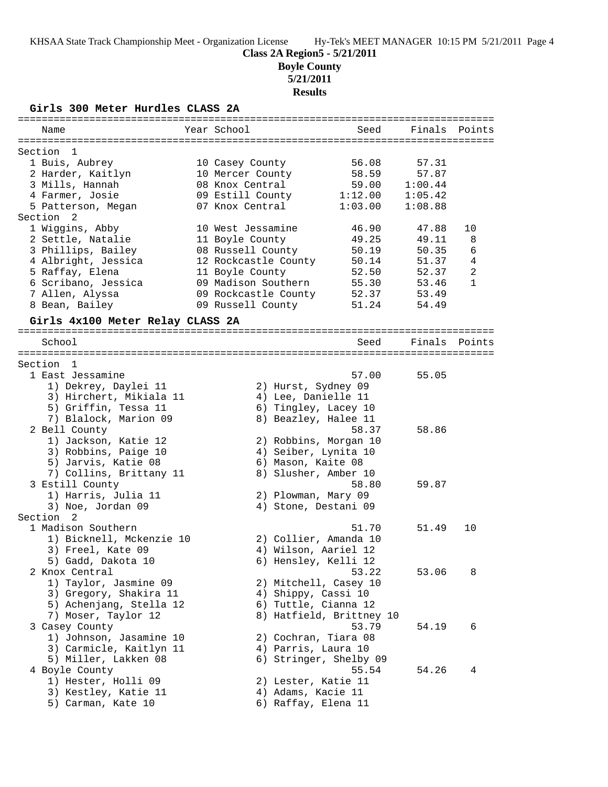**Boyle County**

**5/21/2011**

# **Results**

**Girls 300 Meter Hurdles CLASS 2A**

| Name                             | Year School          | Seed                     |         | Finals Points  |
|----------------------------------|----------------------|--------------------------|---------|----------------|
|                                  |                      |                          |         |                |
| Section<br>-1                    |                      |                          |         |                |
| 1 Buis, Aubrey                   | 10 Casey County      | 56.08                    | 57.31   |                |
| 2 Harder, Kaitlyn                | 10 Mercer County     | 58.59                    | 57.87   |                |
| 3 Mills, Hannah                  | 08 Knox Central      | 59.00                    | 1:00.44 |                |
| 4 Farmer, Josie                  | 09 Estill County     | 1:12.00                  | 1:05.42 |                |
| 5 Patterson, Megan               | 07 Knox Central      | 1:03.00                  | 1:08.88 |                |
| Section<br>2                     |                      |                          |         |                |
| 1 Wiggins, Abby                  | 10 West Jessamine    | 46.90                    | 47.88   | 10             |
| 2 Settle, Natalie                | 11 Boyle County      | 49.25                    | 49.11   | 8              |
| 3 Phillips, Bailey               | 08 Russell County    | 50.19                    | 50.35   | 6              |
| 4 Albright, Jessica              | 12 Rockcastle County | 50.14                    | 51.37   | 4              |
| 5 Raffay, Elena                  | 11 Boyle County      | 52.50                    | 52.37   | $\overline{2}$ |
| 6 Scribano, Jessica              | 09 Madison Southern  | 55.30                    | 53.46   | $\mathbf{1}$   |
| 7 Allen, Alyssa                  | 09 Rockcastle County | 52.37                    | 53.49   |                |
| 8 Bean, Bailey                   | 09 Russell County    | 51.24                    | 54.49   |                |
| Girls 4x100 Meter Relay CLASS 2A |                      |                          |         |                |
| School                           |                      | Seed                     | Finals  | Points         |
|                                  |                      |                          |         |                |
| Section 1                        |                      |                          |         |                |
| 1 East Jessamine                 |                      | 57.00                    | 55.05   |                |
| 1) Dekrey, Daylei 11             |                      | 2) Hurst, Sydney 09      |         |                |
| 3) Hirchert, Mikiala 11          |                      | 4) Lee, Danielle 11      |         |                |
| 5) Griffin, Tessa 11             |                      | 6) Tingley, Lacey 10     |         |                |
| 7) Blalock, Marion 09            |                      | 8) Beazley, Halee 11     |         |                |
| 2 Bell County                    |                      | 58.37                    | 58.86   |                |
| 1) Jackson, Katie 12             |                      | 2) Robbins, Morgan 10    |         |                |
| 3) Robbins, Paige 10             |                      | 4) Seiber, Lynita 10     |         |                |
| 5) Jarvis, Katie 08              |                      | 6) Mason, Kaite 08       |         |                |
| 7) Collins, Brittany 11          |                      | 8) Slusher, Amber 10     |         |                |
| 3 Estill County                  |                      | 58.80                    | 59.87   |                |
| 1) Harris, Julia 11              |                      | 2) Plowman, Mary 09      |         |                |
| 3) Noe, Jordan 09                |                      | 4) Stone, Destani 09     |         |                |
| Section <sub>2</sub>             |                      |                          |         |                |
| 1 Madison Southern               |                      | 51.70                    | 51.49   | 10             |
| 1) Bicknell, Mckenzie 10         |                      | 2) Collier, Amanda 10    |         |                |
| 3) Freel, Kate 09                |                      | 4) Wilson, Aariel 12     |         |                |
| 5) Gadd, Dakota 10               |                      | 6) Hensley, Kelli 12     |         |                |
| 2 Knox Central                   |                      | 53.22                    | 53.06   | 8              |
| 1) Taylor, Jasmine 09            |                      | 2) Mitchell, Casey 10    |         |                |
| 3) Gregory, Shakira 11           |                      | 4) Shippy, Cassi 10      |         |                |
| 5) Achenjang, Stella 12          |                      | 6) Tuttle, Cianna 12     |         |                |
| 7) Moser, Taylor 12              |                      | 8) Hatfield, Brittney 10 |         |                |
| 3 Casey County                   |                      | 53.79                    | 54.19   | 6              |
| 1) Johnson, Jasamine 10          |                      | 2) Cochran, Tiara 08     |         |                |
| 3) Carmicle, Kaitlyn 11          |                      | 4) Parris, Laura 10      |         |                |
| 5) Miller, Lakken 08             |                      | 6) Stringer, Shelby 09   |         |                |
| 4 Boyle County                   |                      | 55.54                    | 54.26   | 4              |
| 1) Hester, Holli 09              |                      | 2) Lester, Katie 11      |         |                |
| 3) Kestley, Katie 11             |                      | 4) Adams, Kacie 11       |         |                |
| 5) Carman, Kate 10               |                      | 6) Raffay, Elena 11      |         |                |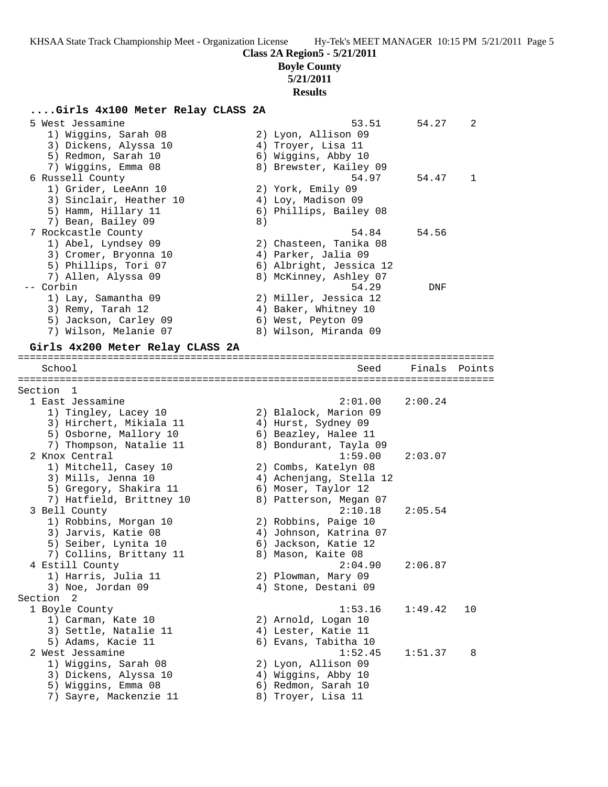**Class 2A Region5 - 5/21/2011**

### **Boyle County**

## **5/21/2011 Results**

# **....Girls 4x100 Meter Relay CLASS 2A**

| $\ldots$                         |    |                         |         |        |
|----------------------------------|----|-------------------------|---------|--------|
| 5 West Jessamine                 |    | 53.51                   | 54.27   | 2      |
| 1) Wiggins, Sarah 08             |    | 2) Lyon, Allison 09     |         |        |
| 3) Dickens, Alyssa 10            |    | 4) Troyer, Lisa 11      |         |        |
| 5) Redmon, Sarah 10              |    | 6) Wiggins, Abby 10     |         |        |
| 7) Wiggins, Emma 08              |    | 8) Brewster, Kailey 09  |         |        |
| 6 Russell County                 |    | 54.97                   | 54.47   | 1      |
| 1) Grider, LeeAnn 10             |    | 2) York, Emily 09       |         |        |
| 3) Sinclair, Heather 10          |    | 4) Loy, Madison 09      |         |        |
| 5) Hamm, Hillary 11              |    | 6) Phillips, Bailey 08  |         |        |
| 7) Bean, Bailey 09               | 8) |                         |         |        |
| 7 Rockcastle County              |    | 54.84                   | 54.56   |        |
| 1) Abel, Lyndsey 09              |    | 2) Chasteen, Tanika 08  |         |        |
| 3) Cromer, Bryonna 10            |    | 4) Parker, Jalia 09     |         |        |
| 5) Phillips, Tori 07             |    | 6) Albright, Jessica 12 |         |        |
| 7) Allen, Alyssa 09              |    | 8) McKinney, Ashley 07  |         |        |
| -- Corbin                        |    | 54.29                   | DNF     |        |
| 1) Lay, Samantha 09              |    | 2) Miller, Jessica 12   |         |        |
| 3) Remy, Tarah 12                |    | 4) Baker, Whitney 10    |         |        |
| 5) Jackson, Carley 09            |    | 6) West, Peyton 09      |         |        |
| 7) Wilson, Melanie 07            |    | 8) Wilson, Miranda 09   |         |        |
| Girls 4x200 Meter Relay CLASS 2A |    |                         |         |        |
|                                  |    |                         |         |        |
| School                           |    | Seed                    | Finals  | Points |
|                                  |    |                         |         |        |
| Section 1                        |    |                         |         |        |
| 1 East Jessamine                 |    | 2:01.00                 | 2:00.24 |        |
| 1) Tingley, Lacey 10             |    | 2) Blalock, Marion 09   |         |        |
| 3) Hirchert, Mikiala 11          |    | 4) Hurst, Sydney 09     |         |        |
| 5) Osborne, Mallory 10           |    | 6) Beazley, Halee 11    |         |        |
| 7) Thompson, Natalie 11          |    | 8) Bondurant, Tayla 09  |         |        |
| 2 Knox Central                   |    | 1:59.00                 | 2:03.07 |        |
| 1) Mitchell, Casey 10            |    | 2) Combs, Katelyn 08    |         |        |
| 3) Mills, Jenna 10               |    | 4) Achenjang, Stella 12 |         |        |
| 5) Gregory, Shakira 11           |    | 6) Moser, Taylor 12     |         |        |
| 7) Hatfield, Brittney 10         |    | 8) Patterson, Megan 07  |         |        |
| 3 Bell County                    |    | 2:10.18                 | 2:05.54 |        |
| 1) Robbins, Morgan 10            |    | 2) Robbins, Paige 10    |         |        |
| 3) Jarvis, Katie 08              |    | 4) Johnson, Katrina 07  |         |        |
| 5) Seiber, Lynita 10             |    | 6) Jackson, Katie 12    |         |        |
| 7) Collins, Brittany 11          |    | 8) Mason, Kaite 08      |         |        |
| 4 Estill County                  |    | 2:04.90                 | 2:06.87 |        |
| 1) Harris, Julia 11              |    | 2) Plowman, Mary 09     |         |        |
| 3) Noe, Jordan 09                |    | 4) Stone, Destani 09    |         |        |
| Section <sub>2</sub>             |    |                         |         |        |
| 1 Boyle County                   |    | 1:53.16                 | 1:49.42 | 10     |
| 1) Carman, Kate 10               |    | 2) Arnold, Logan 10     |         |        |
| 3) Settle, Natalie 11            |    | 4) Lester, Katie 11     |         |        |
| 5) Adams, Kacie 11               |    | 6) Evans, Tabitha 10    |         |        |
| 2 West Jessamine                 |    | 1:52.45                 |         |        |
|                                  |    |                         | 1:51.37 | 8      |
| 1) Wiggins, Sarah 08             |    | 2) Lyon, Allison 09     |         |        |
| 3) Dickens, Alyssa 10            |    | 4) Wiggins, Abby 10     |         |        |
| 5) Wiggins, Emma 08              |    | 6) Redmon, Sarah 10     |         |        |

7) Sayre, Mackenzie 11  $\hphantom{\text{2.65}$  8) Troyer, Lisa 11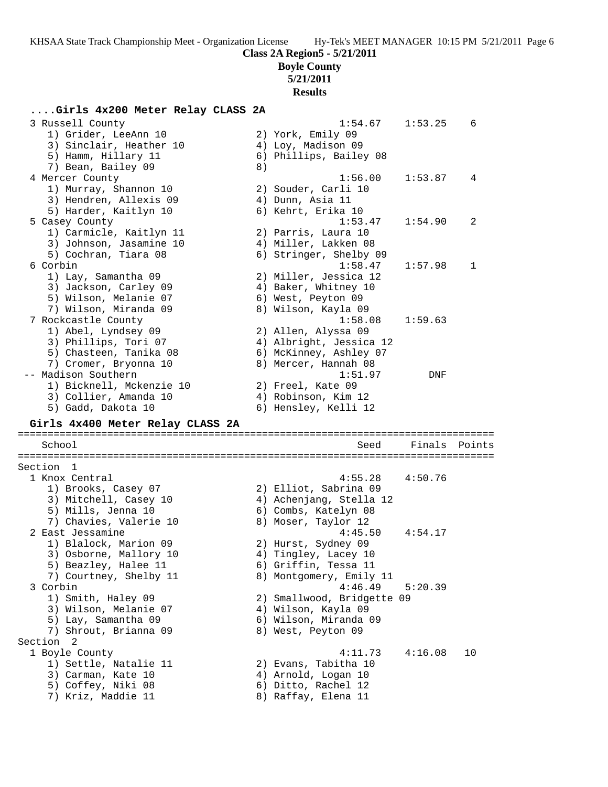# **Boyle County**

**5/21/2011**

# **Results**

## **....Girls 4x200 Meter Relay CLASS 2A**

| 3 Russell County<br>1) Grider, LeeAnn 10<br>3) Sinclair, Heather 10<br>5) Hamm, Hillary 11<br>7) Bean, Bailey 09                                | 8) | 1:54.67<br>2) York, Emily 09<br>4) Loy, Madison 09<br>6) Phillips, Bailey 08                                                     | 1:53.25 | 6      |
|-------------------------------------------------------------------------------------------------------------------------------------------------|----|----------------------------------------------------------------------------------------------------------------------------------|---------|--------|
| 4 Mercer County<br>1) Murray, Shannon 10<br>3) Hendren, Allexis 09<br>5) Harder, Kaitlyn 10                                                     |    | 1:56.00<br>2) Souder, Carli 10<br>4) Dunn, Asia 11<br>6) Kehrt, Erika 10                                                         | 1:53.87 | 4      |
| 5 Casey County<br>1) Carmicle, Kaitlyn 11<br>3) Johnson, Jasamine 10<br>5) Cochran, Tiara 08                                                    |    | 1:53.47<br>2) Parris, Laura 10<br>4) Miller, Lakken 08<br>6) Stringer, Shelby 09                                                 | 1:54.90 | 2      |
| 6 Corbin<br>1) Lay, Samantha 09<br>3) Jackson, Carley 09<br>5) Wilson, Melanie 07<br>7) Wilson, Miranda 09                                      |    | 1:58.47<br>2) Miller, Jessica 12<br>4) Baker, Whitney 10<br>6) West, Peyton 09<br>8) Wilson, Kayla 09                            | 1:57.98 | 1      |
| 7 Rockcastle County<br>1) Abel, Lyndsey 09<br>3) Phillips, Tori 07<br>5) Chasteen, Tanika 08<br>7) Cromer, Bryonna 10                           |    | 1:58.08<br>2) Allen, Alyssa 09<br>4) Albright, Jessica 12<br>6) McKinney, Ashley 07<br>8) Mercer, Hannah 08                      | 1:59.63 |        |
| -- Madison Southern<br>1) Bicknell, Mckenzie 10<br>3) Collier, Amanda 10<br>5) Gadd, Dakota 10                                                  |    | 1:51.97<br>2) Freel, Kate 09<br>4) Robinson, Kim 12<br>6) Hensley, Kelli 12                                                      | DNF     |        |
| Girls 4x400 Meter Relay CLASS 2A                                                                                                                |    |                                                                                                                                  |         |        |
| School                                                                                                                                          |    | Seed                                                                                                                             | Finals  | Points |
| Section 1                                                                                                                                       |    |                                                                                                                                  |         |        |
| 1 Knox Central<br>1) Brooks, Casey 07<br>3) Mitchell, Casey 10<br>5) Mills, Jenna 10                                                            |    | 4:55.28<br>2) Elliot, Sabrina 09<br>4) Achenjang, Stella 12<br>6) Combs, Katelyn 08                                              | 4:50.76 |        |
| 7) Chavies, Valerie 10<br>2 East Jessamine<br>1) Blalock, Marion 09<br>3) Osborne, Mallory 10<br>5) Beazley, Halee 11<br>7) Courtney, Shelby 11 |    | 8) Moser, Taylor 12<br>4:45.50<br>2) Hurst, Sydney 09<br>4) Tingley, Lacey 10<br>6) Griffin, Tessa 11<br>8) Montgomery, Emily 11 | 4:54.17 |        |
| 3 Corbin<br>1) Smith, Haley 09<br>3) Wilson, Melanie 07<br>5) Lay, Samantha 09<br>7) Shrout, Brianna 09<br>Section 2                            |    | 4:46.49<br>2) Smallwood, Bridgette 09<br>4) Wilson, Kayla 09<br>6) Wilson, Miranda 09<br>8) West, Peyton 09                      | 5:20.39 |        |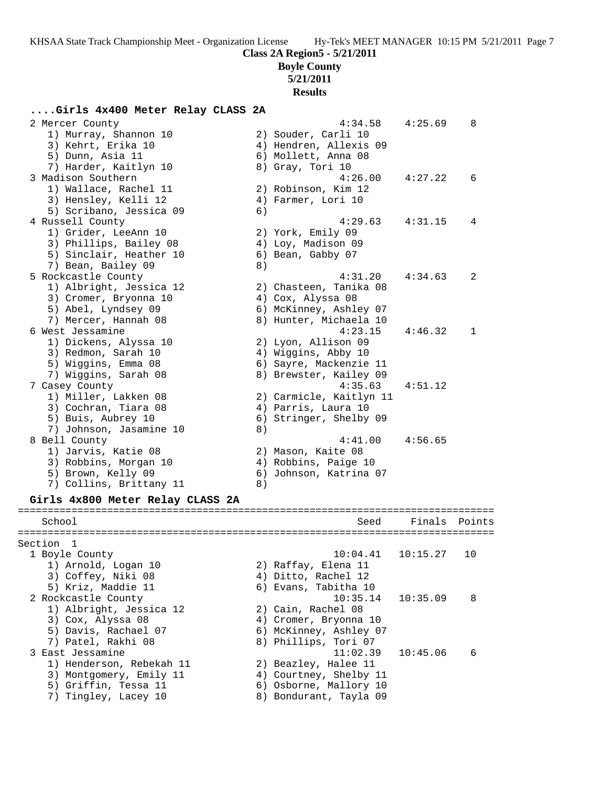### **Boyle County**

## **5/21/2011**

**Results**

### **....Girls 4x400 Meter Relay CLASS 2A**

| 2 Mercer County                  |    | 4:34.58                 | 4:25.69  | 8      |
|----------------------------------|----|-------------------------|----------|--------|
| 1) Murray, Shannon 10            |    | 2) Souder, Carli 10     |          |        |
| 3) Kehrt, Erika 10               |    | 4) Hendren, Allexis 09  |          |        |
| 5) Dunn, Asia 11                 |    | 6) Mollett, Anna 08     |          |        |
| 7) Harder, Kaitlyn 10            |    | 8) Gray, Tori 10        |          |        |
| 3 Madison Southern               |    | 4:26.00                 | 4:27.22  | 6      |
| 1) Wallace, Rachel 11            |    | 2) Robinson, Kim 12     |          |        |
| 3) Hensley, Kelli 12             |    | 4) Farmer, Lori 10      |          |        |
| 5) Scribano, Jessica 09          | 6) |                         |          |        |
| 4 Russell County                 |    | 4:29.63                 | 4:31.15  | 4      |
| 1) Grider, LeeAnn 10             |    | 2) York, Emily 09       |          |        |
| 3) Phillips, Bailey 08           |    | 4) Loy, Madison 09      |          |        |
| 5) Sinclair, Heather 10          |    | 6) Bean, Gabby 07       |          |        |
| 7) Bean, Bailey 09               | 8) |                         |          |        |
| 5 Rockcastle County              |    | 4:31.20                 | 4:34.63  | 2      |
| 1) Albright, Jessica 12          |    | 2) Chasteen, Tanika 08  |          |        |
| 3) Cromer, Bryonna 10            |    | 4) Cox, Alyssa 08       |          |        |
| 5) Abel, Lyndsey 09              |    | 6) McKinney, Ashley 07  |          |        |
| 7) Mercer, Hannah 08             |    | 8) Hunter, Michaela 10  |          |        |
| 6 West Jessamine                 |    | 4:23.15                 | 4:46.32  | 1      |
| 1) Dickens, Alyssa 10            |    | 2) Lyon, Allison 09     |          |        |
| 3) Redmon, Sarah 10              |    | 4) Wiggins, Abby 10     |          |        |
| 5) Wiggins, Emma 08              |    | 6) Sayre, Mackenzie 11  |          |        |
| 7) Wiggins, Sarah 08             |    | 8) Brewster, Kailey 09  |          |        |
| 7 Casey County                   |    | 4:35.63                 | 4:51.12  |        |
| 1) Miller, Lakken 08             |    | 2) Carmicle, Kaitlyn 11 |          |        |
| 3) Cochran, Tiara 08             |    | 4) Parris, Laura 10     |          |        |
| 5) Buis, Aubrey 10               |    | 6) Stringer, Shelby 09  |          |        |
| 7) Johnson, Jasamine 10          | 8) |                         |          |        |
| 8 Bell County                    |    | 4:41.00                 | 4:56.65  |        |
| 1) Jarvis, Katie 08              |    | 2) Mason, Kaite 08      |          |        |
| 3) Robbins, Morgan 10            |    | 4) Robbins, Paige 10    |          |        |
| 5) Brown, Kelly 09               |    | 6) Johnson, Katrina 07  |          |        |
| 7) Collins, Brittany 11          | 8) |                         |          |        |
| Girls 4x800 Meter Relay CLASS 2A |    |                         |          |        |
|                                  |    |                         |          |        |
| School                           |    | Seed                    | Finals   | Points |
| Section 1                        |    |                         |          |        |
| 1 Boyle County                   |    | 10:04.41                | 10:15.27 | 10     |
| 1) Arnold, Logan 10              |    | 2) Raffay, Elena 11     |          |        |
| 3) Coffey, Niki 08               |    | 4) Ditto, Rachel 12     |          |        |
| 5) Kriz, Maddie 11               |    | 6) Evans, Tabitha 10    |          |        |
| 2 Rockcastle County              |    | 10:35.14                | 10:35.09 | 8      |
| 1) Albright, Jessica 12          |    | 2) Cain, Rachel 08      |          |        |
| 3) Cox, Alyssa 08                |    | 4) Cromer, Bryonna 10   |          |        |
| 5) Davis, Rachael 07             |    | 6) McKinney, Ashley 07  |          |        |
|                                  |    |                         |          |        |

- 7) Patel, Rakhi 08 8) Phillips, Tori 07
- 3 East Jessamine 11:02.39 10:45.06 6
- 1) Henderson, Rebekah 11 2) Beazley, Halee 11
- 3) Montgomery, Emily 11 4) Courtney, Shelby 11
- 5) Griffin, Tessa 11 6) Osborne, Mallory 10
	-
- 7) Tingley, Lacey 10 8) Bondurant, Tayla 09
	-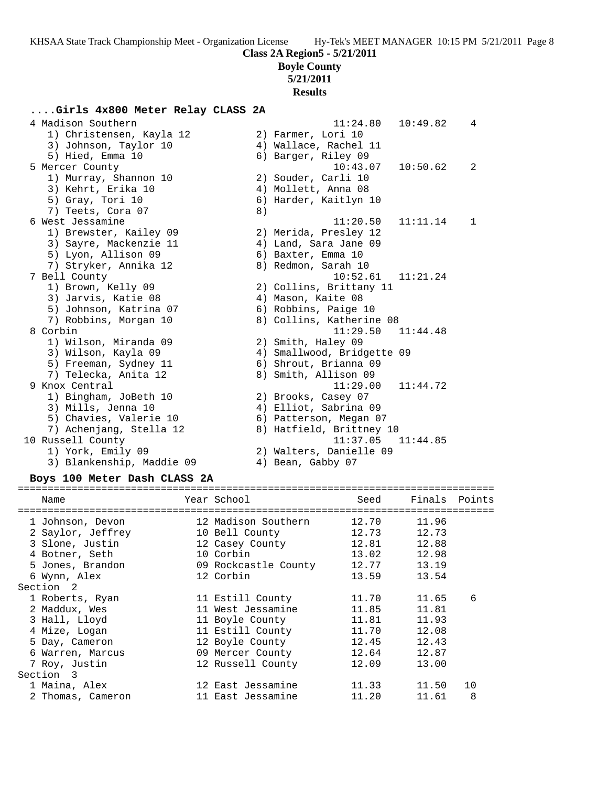# **Boyle County**

**5/21/2011**

**Results**

## **....Girls 4x800 Meter Relay CLASS 2A**

| 4 Madison Southern        |    | 11:24.80<br>10:49.82     | $\overline{4}$ |  |
|---------------------------|----|--------------------------|----------------|--|
| 1) Christensen, Kayla 12  |    | 2) Farmer, Lori 10       |                |  |
| 3) Johnson, Taylor 10     |    | 4) Wallace, Rachel 11    |                |  |
| 5) Hied, Emma 10          |    | 6) Barger, Riley 09      |                |  |
| 5 Mercer County           |    | 10:50.62<br>10:43.07     | 2              |  |
| 1) Murray, Shannon 10     |    | 2) Souder, Carli 10      |                |  |
| 3) Kehrt, Erika 10        |    | 4) Mollett, Anna 08      |                |  |
| 5) Gray, Tori 10          |    | 6) Harder, Kaitlyn 10    |                |  |
| 7) Teets, Cora 07         | 8) |                          |                |  |
| 6 West Jessamine          |    | 11:20.50<br>11:11.14     | 1              |  |
| 1) Brewster, Kailey 09    |    | 2) Merida, Presley 12    |                |  |
| 3) Sayre, Mackenzie 11    |    | 4) Land, Sara Jane 09    |                |  |
| 5) Lyon, Allison 09       |    | 6) Baxter, Emma 10       |                |  |
| 7) Stryker, Annika 12     |    | 8) Redmon, Sarah 10      |                |  |
| 7 Bell County             |    | 10:52.61<br>11:21.24     |                |  |
| 1) Brown, Kelly 09        |    | 2) Collins, Brittany 11  |                |  |
| 3) Jarvis, Katie 08       |    | 4) Mason, Kaite 08       |                |  |
| 5) Johnson, Katrina 07    |    | 6) Robbins, Paige 10     |                |  |
| 7) Robbins, Morgan 10     |    | 8) Collins, Katherine 08 |                |  |
| 8 Corbin                  |    | 11:29.50<br>11:44.48     |                |  |
| 1) Wilson, Miranda 09     |    | 2) Smith, Haley 09       |                |  |
| 3) Wilson, Kayla 09       | 4) | Smallwood, Bridgette 09  |                |  |
| 5) Freeman, Sydney 11     |    | 6) Shrout, Brianna 09    |                |  |
| 7) Telecka, Anita 12      |    | 8) Smith, Allison 09     |                |  |
| 9 Knox Central            |    | 11:29.00<br>11:44.72     |                |  |
| 1) Bingham, JoBeth 10     |    | 2) Brooks, Casey 07      |                |  |
| 3) Mills, Jenna 10        |    | 4) Elliot, Sabrina 09    |                |  |
| 5) Chavies, Valerie 10    |    | 6) Patterson, Megan 07   |                |  |
| 7) Achenjang, Stella 12   |    | 8) Hatfield, Brittney 10 |                |  |
| 10 Russell County         |    | 11:37.05<br>11:44.85     |                |  |
| 1) York, Emily 09         |    | 2) Walters, Danielle 09  |                |  |
| 3) Blankenship, Maddie 09 |    | 4) Bean, Gabby 07        |                |  |

### **Boys 100 Meter Dash CLASS 2A**

| Name              | Year School          | Seed        | Finals Points |    |
|-------------------|----------------------|-------------|---------------|----|
| 1 Johnson, Devon  | 12 Madison Southern  | 12.70       | 11.96         |    |
| 2 Saylor, Jeffrey | 10 Bell County       | 12.73       | 12.73         |    |
| 3 Slone, Justin   | 12 Casey County      | 12.81       | 12.88         |    |
| 4 Botner, Seth    | 10 Corbin            | 13.02 12.98 |               |    |
| 5 Jones, Brandon  | 09 Rockcastle County | 12.77 13.19 |               |    |
| 6 Wynn, Alex      | 12 Corbin            | 13.59       | 13.54         |    |
| Section 2         |                      |             |               |    |
| 1 Roberts, Ryan   | 11 Estill County     | 11.70       | 11.65         | 6  |
| 2 Maddux, Wes     | 11 West Jessamine    | 11.85       | 11.81         |    |
| 3 Hall, Lloyd     | 11 Boyle County      | 11.81       | 11.93         |    |
| 4 Mize, Logan     | 11 Estill County     | 11.70       | 12.08         |    |
| 5 Day, Cameron    | 12 Boyle County      | 12.45       | 12.43         |    |
| 6 Warren, Marcus  | 09 Mercer County     | 12.64       | 12.87         |    |
| 7 Roy, Justin     | 12 Russell County    | 12.09       | 13.00         |    |
| Section 3         |                      |             |               |    |
| 1 Maina, Alex     | 12 East Jessamine    | 11.33       | 11.50         | 10 |
| 2 Thomas, Cameron | 11 East Jessamine    | 11.20       | 11.61         | 8  |
|                   |                      |             |               |    |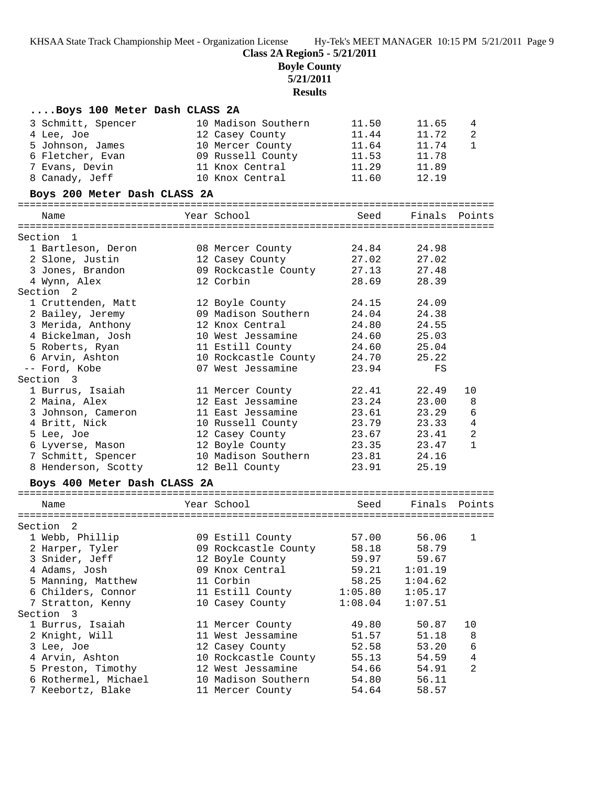**Class 2A Region5 - 5/21/2011**

**Boyle County**

**5/21/2011**

**Results**

| Boys 100 Meter Dash CLASS 2A |                      |         |               |                |
|------------------------------|----------------------|---------|---------------|----------------|
| 3 Schmitt, Spencer           | 10 Madison Southern  | 11.50   | 11.65         | 4              |
| 4 Lee, Joe                   | 12 Casey County      | 11.44   | 11.72         | 2              |
| 5 Johnson, James             | 10 Mercer County     | 11.64   | 11.74         | $\mathbf{1}$   |
| 6 Fletcher, Evan             | 09 Russell County    | 11.53   | 11.78         |                |
| 7 Evans, Devin               | 11 Knox Central      | 11.29   | 11.89         |                |
| 8 Canady, Jeff               | 10 Knox Central      | 11.60   | 12.19         |                |
| Boys 200 Meter Dash CLASS 2A |                      |         |               |                |
|                              |                      |         |               |                |
| Name                         | Year School          | Seed    | Finals Points |                |
|                              |                      |         |               |                |
| Section 1                    |                      |         |               |                |
| 1 Bartleson, Deron           | 08 Mercer County     | 24.84   | 24.98         |                |
| 2 Slone, Justin              | 12 Casey County      | 27.02   | 27.02         |                |
| 3 Jones, Brandon             | 09 Rockcastle County | 27.13   | 27.48         |                |
| 4 Wynn, Alex                 | 12 Corbin            | 28.69   | 28.39         |                |
| Section 2                    |                      |         |               |                |
| 1 Cruttenden, Matt           | 12 Boyle County      | 24.15   | 24.09         |                |
| 2 Bailey, Jeremy             | 09 Madison Southern  | 24.04   | 24.38         |                |
| 3 Merida, Anthony            | 12 Knox Central      | 24.80   | 24.55         |                |
| 4 Bickelman, Josh            | 10 West Jessamine    | 24.60   | 25.03         |                |
| 5 Roberts, Ryan              | 11 Estill County     | 24.60   | 25.04         |                |
| 6 Arvin, Ashton              | 10 Rockcastle County | 24.70   | 25.22         |                |
| -- Ford, Kobe                | 07 West Jessamine    | 23.94   | FS            |                |
| Section 3                    |                      |         |               |                |
| 1 Burrus, Isaiah             | 11 Mercer County     | 22.41   | 22.49         | 10             |
| 2 Maina, Alex                | 12 East Jessamine    | 23.24   | 23.00         | 8              |
| 3 Johnson, Cameron           | 11 East Jessamine    | 23.61   | 23.29         | $\epsilon$     |
| 4 Britt, Nick                | 10 Russell County    | 23.79   | 23.33         | $\overline{4}$ |
| 5 Lee, Joe                   | 12 Casey County      | 23.67   | 23.41         | $\sqrt{2}$     |
| 6 Lyverse, Mason             | 12 Boyle County      | 23.35   | 23.47         | $\mathbf{1}$   |
| 7 Schmitt, Spencer           | 10 Madison Southern  | 23.81   | 24.16         |                |
| 8 Henderson, Scotty          | 12 Bell County       | 23.91   | 25.19         |                |
| Boys 400 Meter Dash CLASS 2A |                      |         |               |                |
|                              |                      |         |               |                |
| Name                         | Year School          | Seed    | Finals Points |                |
| Section 2                    |                      |         |               |                |
| 1 Webb, Phillip              | 09 Estill County     | 57.00   | 56.06         | 1              |
| 2 Harper, Tyler              | 09 Rockcastle County | 58.18   | 58.79         |                |
| 3 Snider, Jeff               | 12 Boyle County      | 59.97   | 59.67         |                |
| 4 Adams, Josh                | 09 Knox Central      | 59.21   | 1:01.19       |                |
| 5 Manning, Matthew           | 11 Corbin            | 58.25   | 1:04.62       |                |
| 6 Childers, Connor           | 11 Estill County     | 1:05.80 | 1:05.17       |                |
| 7 Stratton, Kenny            | 10 Casey County      | 1:08.04 | 1:07.51       |                |
| Section 3                    |                      |         |               |                |
| 1 Burrus, Isaiah             | 11 Mercer County     | 49.80   | 50.87         | 10             |
| 2 Knight, Will               | 11 West Jessamine    | 51.57   | 51.18         | 8              |
| 3 Lee, Joe                   | 12 Casey County      | 52.58   | 53.20         | 6              |
| 4 Arvin, Ashton              | 10 Rockcastle County | 55.13   | 54.59         | 4              |
| 5 Preston, Timothy           | 12 West Jessamine    | 54.66   | 54.91         | 2              |
| 6 Rothermel, Michael         | 10 Madison Southern  | 54.80   | 56.11         |                |
| 7 Keebortz, Blake            | 11 Mercer County     | 54.64   | 58.57         |                |
|                              |                      |         |               |                |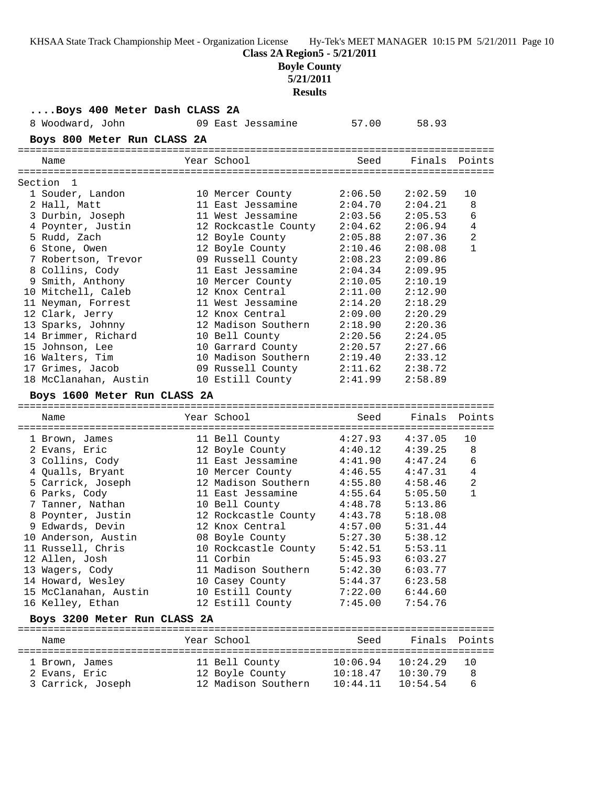| KHSAA State Track Championship Meet - Organization License | Hy-Tek's MEET MANAGER 10:15 PM 5/21/2011 Page 10 |
|------------------------------------------------------------|--------------------------------------------------|
|------------------------------------------------------------|--------------------------------------------------|

## **Boyle County**

**5/21/2011**

**Results**

| Boys 400 Meter Dash CLASS 2A |                              |                       |               |                |
|------------------------------|------------------------------|-----------------------|---------------|----------------|
| 8 Woodward, John             | 09 East Jessamine            | 57.00                 | 58.93         |                |
| Boys 800 Meter Run CLASS 2A  |                              |                       |               |                |
|                              |                              |                       |               |                |
| Name                         | Year School                  | Seed                  | Finals Points |                |
| Section<br>1                 |                              |                       |               |                |
| 1 Souder, Landon             | 10 Mercer County             | 2:06.50               | 2:02.59       | 10             |
| 2 Hall, Matt                 | 11 East Jessamine            | 2:04.70               | 2:04.21       | 8              |
| 3 Durbin, Joseph             | 11 West Jessamine            | 2:03.56               | 2:05.53       | 6              |
| 4 Poynter, Justin            | 12 Rockcastle County 2:04.62 |                       | 2:06.94       | 4              |
| 5 Rudd, Zach                 | 12 Boyle County              | 2:05.88               | 2:07.36       | $\overline{a}$ |
| 6 Stone, Owen                | 12 Boyle County              | 2:10.46               | 2:08.08       | $\mathbf{1}$   |
| 7 Robertson, Trevor          | 09 Russell County            | 2:08.23               | 2:09.86       |                |
| 8 Collins, Cody              | 11 East Jessamine            | 2:04.34               | 2:09.95       |                |
| 9 Smith, Anthony             | 10 Mercer County             | 2:10.05               | 2:10.19       |                |
| 10 Mitchell, Caleb           | 12 Knox Central              | 2:11.00               | 2:12.90       |                |
| 11 Neyman, Forrest           | 11 West Jessamine            | 2:14.20               | 2:18.29       |                |
|                              | 12 Knox Central              |                       |               |                |
| 12 Clark, Jerry              |                              | 2:09.00               | 2:20.29       |                |
| 13 Sparks, Johnny            | 12 Madison Southern          | 2:18.90               | 2:20.36       |                |
| 14 Brimmer, Richard          | 10 Bell County               | 2:20.56               | 2:24.05       |                |
| 15 Johnson, Lee              | 10 Garrard County            | 2:20.57               | 2:27.66       |                |
| 16 Walters, Tim              | 10 Madison Southern          | 2:19.40               | 2:33.12       |                |
| 17 Grimes, Jacob             | 09 Russell County            | 2:11.62               | 2:38.72       |                |
| 18 McClanahan, Austin        | 10 Estill County             | 2:41.99               | 2:58.89       |                |
| Boys 1600 Meter Run CLASS 2A |                              |                       |               |                |
| Name                         | Year School                  | Seed                  | Finals        | Points         |
|                              |                              |                       |               |                |
| 1 Brown, James               | 11 Bell County               | 4:27.93               | 4:37.05       | 10             |
| 2 Evans, Eric                | 12 Boyle County              | 4:40.12               | 4:39.25       | 8              |
| 3 Collins, Cody              | 11 East Jessamine            | 4:41.90               | 4:47.24       | 6              |
| 4 Qualls, Bryant             | 10 Mercer County             | 4:46.55               | 4:47.31       | $\overline{4}$ |
| 5 Carrick, Joseph            | 12 Madison Southern          | 4:55.80               | 4:58.46       | 2              |
| 6 Parks, Cody                | 11 East Jessamine            | 4:55.64               | 5:05.50       | $\mathbf{1}$   |
| 7 Tanner, Nathan             | 10 Bell County               | 4:48.78               | 5:13.86       |                |
| 8 Poynter, Justin            | 12 Rockcastle County 4:43.78 |                       | 5:18.08       |                |
| 9 Edwards, Devin             | 12 Knox Central              | 4:57.00               | 5:31.44       |                |
| 10 Anderson, Austin          | 08 Boyle County              | 5:27.30               | 5:38.12       |                |
| 11 Russell, Chris            | 10 Rockcastle County         | 5:42.51               | 5:53.11       |                |
| 12 Allen, Josh               | 11 Corbin                    | 5:45.93               | 6:03.27       |                |
| 13 Wagers, Cody              | 11 Madison Southern 5:42.30  |                       | 6:03.77       |                |
| 14 Howard, Wesley            | 10 Casey County              | 5:44.37               | 6:23.58       |                |
| 15 McClanahan, Austin        | 10 Estill County             | 7:22.00               | 6:44.60       |                |
| 16 Kelley, Ethan             | 12 Estill County             | 7:45.00               | 7:54.76       |                |
|                              |                              |                       |               |                |
|                              |                              |                       |               |                |
| Boys 3200 Meter Run CLASS 2A |                              |                       |               |                |
| Name                         | Year School                  | Seed                  | Finals        | Points         |
|                              |                              |                       |               |                |
| 1 Brown, James               | 11 Bell County               | $10:06.94$ $10:24.29$ |               | 10             |
| 2 Evans, Eric                | 12 Boyle County              | $10:18.47$ $10:30.79$ |               | 8              |
| 3 Carrick, Joseph            | 12 Madison Southern          | 10:44.11              | 10:54.54      | 6              |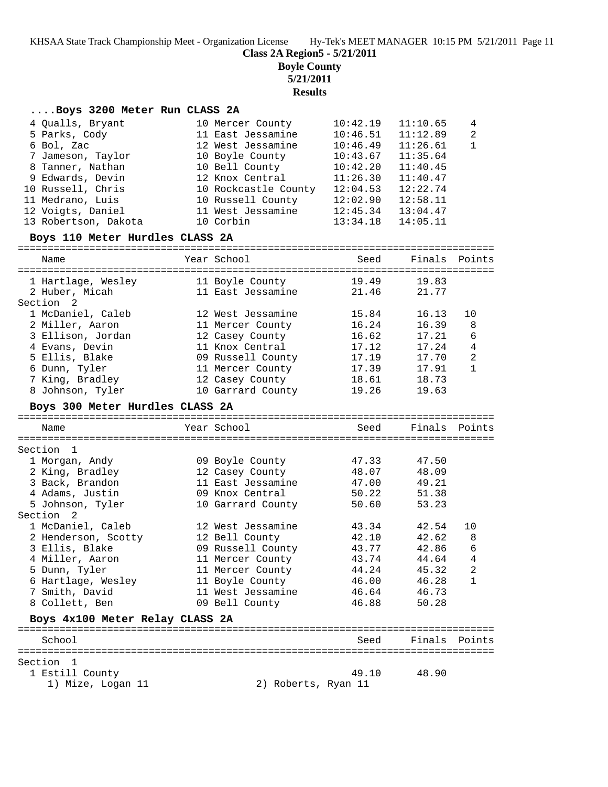**Class 2A Region5 - 5/21/2011**

**Boyle County**

**5/21/2011**

**Results**

### **....Boys 3200 Meter Run CLASS 2A**

| 4 Qualls, Bryant                | 10 Mercer County     | 10:42.19 | 11:10.65              | 4  |
|---------------------------------|----------------------|----------|-----------------------|----|
| 5 Parks, Cody                   | 11 East Jessamine    |          | $10:46.51$ $11:12.89$ | -2 |
| 6 Bol, Zac                      | 12 West Jessamine    | 10:46.49 | 11:26.61              | 1  |
| 7 Jameson, Taylor               | 10 Boyle County      |          | $10:43.67$ $11:35.64$ |    |
| 8 Tanner, Nathan                | 10 Bell County       | 10:42.20 | 11:40.45              |    |
| 9 Edwards, Devin                | 12 Knox Central      | 11:26.30 | 11:40.47              |    |
| 10 Russell, Chris               | 10 Rockcastle County | 12:04.53 | 12:22.74              |    |
| 11 Medrano, Luis                | 10 Russell County    | 12:02.90 | 12:58.11              |    |
| 12 Voigts, Daniel               | 11 West Jessamine    | 12:45.34 | 13:04.47              |    |
| 13 Robertson, Dakota            | 10 Corbin            | 13:34.18 | 14:05.11              |    |
| Boys 110 Meter Hurdles CLASS 2A |                      |          |                       |    |

### ================================================================================ Name The Year School Seed Finals Points

| 1 Hartlage, Wesley<br>2 Huber, Micah | 11 Boyle County<br>11 East Jessamine | 19.49<br>21.46 | 19.83<br>21.77 |                |
|--------------------------------------|--------------------------------------|----------------|----------------|----------------|
| Section <sub>2</sub>                 |                                      |                |                |                |
| 1 McDaniel, Caleb                    | 12 West Jessamine                    | 15.84          | 16.13          | 10             |
| 2 Miller, Aaron                      | 11 Mercer County                     | 16.24          | 16.39          | 8              |
| 3 Ellison, Jordan                    | 12 Casey County                      | 16.62          | 17.21          | 6              |
| 4 Evans, Devin                       | 11 Knox Central                      | 17.12          | 17.24          | 4              |
| 5 Ellis, Blake                       | 09 Russell County                    | 17.19          | 17.70          | $\overline{2}$ |
| 6 Dunn, Tyler                        | 11 Mercer County                     | 17.39          | 17.91          | $\mathbf{1}$   |
| 7 King, Bradley                      | 12 Casey County                      | 18.61          | 18.73          |                |
| 8 Johnson, Tyler                     | 10 Garrard County                    | 19.26          | 19.63          |                |
|                                      |                                      |                |                |                |

### **Boys 300 Meter Hurdles CLASS 2A**

| Name                            | Year School       | Seed  | Finals Points |                |
|---------------------------------|-------------------|-------|---------------|----------------|
|                                 |                   |       |               |                |
| Section 1                       |                   |       |               |                |
| 1 Morgan, Andy                  | 09 Boyle County   | 47.33 | 47.50         |                |
| 2 King, Bradley                 | 12 Casey County   | 48.07 | 48.09         |                |
| 3 Back, Brandon                 | 11 East Jessamine | 47.00 | 49.21         |                |
| 4 Adams, Justin                 | 09 Knox Central   |       | 50.22 51.38   |                |
| 5 Johnson, Tyler                | 10 Garrard County |       | 50.60 53.23   |                |
| Section 2                       |                   |       |               |                |
| 1 McDaniel, Caleb               | 12 West Jessamine | 43.34 | 42.54         | 10             |
| 2 Henderson, Scotty             | 12 Bell County    | 42.10 | 42.62         | 8              |
| 3 Ellis, Blake                  | 09 Russell County | 43.77 | 42.86         | 6              |
| 4 Miller, Aaron                 | 11 Mercer County  |       | 43.74 44.64   | 4              |
| 5 Dunn, Tyler                   | 11 Mercer County  | 44.24 | 45.32         | $\overline{a}$ |
| 6 Hartlage, Wesley              | 11 Boyle County   |       | 46.00 46.28   |                |
| 7 Smith, David                  | 11 West Jessamine | 46.64 | 46.73         |                |
| 8 Collett, Ben                  | 09 Bell County    | 46.88 | 50.28         |                |
| Boys 4x100 Meter Relay CLASS 2A |                   |       |               |                |
| School                          |                   | Seed  | Finals        | Points         |
|                                 |                   |       |               |                |
| Section<br>$\overline{1}$       |                   |       |               |                |
|                                 |                   |       |               |                |

# 1 Estill County 49.10 48.90

1) Mize, Logan 11 2) Roberts, Ryan 11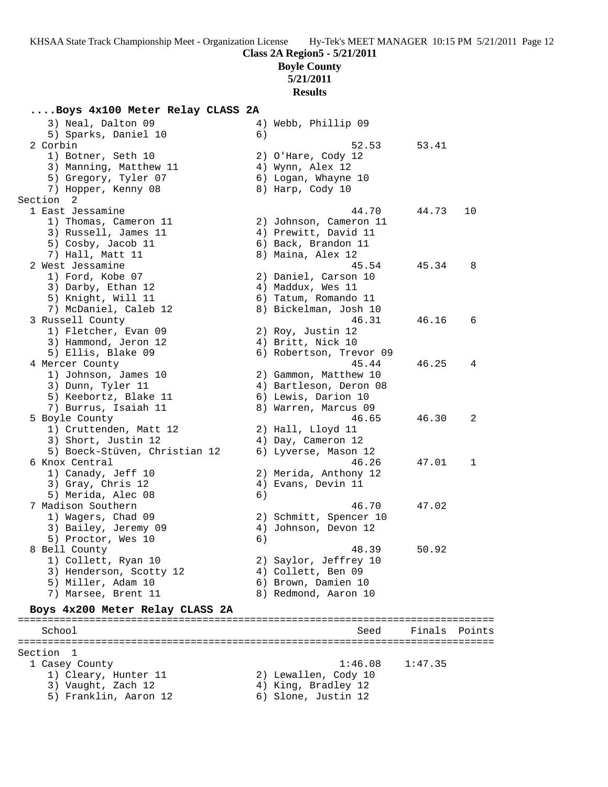**Class 2A Region5 - 5/21/2011**

**Boyle County**

**5/21/2011**

**Results**

# **....Boys 4x100 Meter Relay CLASS 2A**<br>3) Neal Dalton 09 4) Mebb Phillip 09

| 3) Neal, Dalton 09<br>5) Sparks, Daniel 10    | 6) | 4) Webb, Phillip 09                     |         |        |
|-----------------------------------------------|----|-----------------------------------------|---------|--------|
| 2 Corbin                                      |    | 52.53                                   | 53.41   |        |
| 1) Botner, Seth 10                            |    | 2) O'Hare, Cody 12                      |         |        |
| 3) Manning, Matthew 11                        |    | 4) Wynn, Alex 12                        |         |        |
| 5) Gregory, Tyler 07                          |    | 6) Logan, Whayne 10                     |         |        |
| 7) Hopper, Kenny 08                           |    | 8) Harp, Cody 10                        |         |        |
| Section 2                                     |    |                                         |         |        |
| 1 East Jessamine                              |    | 44.70                                   | 44.73   | 10     |
| 1) Thomas, Cameron 11                         |    | 2) Johnson, Cameron 11                  |         |        |
| 3) Russell, James 11                          |    | 4) Prewitt, David 11                    |         |        |
| 5) Cosby, Jacob 11                            |    | 6) Back, Brandon 11                     |         |        |
| 7) Hall, Matt 11                              |    | 8) Maina, Alex 12                       |         |        |
| 2 West Jessamine                              |    | 45.54                                   | 45.34   | 8      |
| 1) Ford, Kobe 07                              |    | 2) Daniel, Carson 10                    |         |        |
| 3) Darby, Ethan 12                            |    | 4) Maddux, Wes 11                       |         |        |
| 5) Knight, Will 11                            |    | 6) Tatum, Romando 11                    |         |        |
| 7) McDaniel, Caleb 12                         |    | 8) Bickelman, Josh 10                   |         |        |
| 3 Russell County                              |    | 46.31                                   | 46.16   | 6      |
| 1) Fletcher, Evan 09                          |    | 2) Roy, Justin 12                       |         |        |
| 3) Hammond, Jeron 12                          |    | 4) Britt, Nick 10                       |         |        |
| 5) Ellis, Blake 09                            |    | 6) Robertson, Trevor 09                 |         |        |
| 4 Mercer County                               |    | 45.44                                   | 46.25   | 4      |
| 1) Johnson, James 10                          |    | 2) Gammon, Matthew 10                   |         |        |
| 3) Dunn, Tyler 11                             |    | 4) Bartleson, Deron 08                  |         |        |
| 5) Keebortz, Blake 11                         |    | 6) Lewis, Darion 10                     |         |        |
| 7) Burrus, Isaiah 11                          |    | 8) Warren, Marcus 09<br>46.65           | 46.30   |        |
| 5 Boyle County                                |    |                                         |         | 2      |
| 1) Cruttenden, Matt 12<br>3) Short, Justin 12 |    | 2) Hall, Lloyd 11<br>4) Day, Cameron 12 |         |        |
| 5) Boeck-Stüven, Christian 12                 |    | 6) Lyverse, Mason 12                    |         |        |
| 6 Knox Central                                |    | 46.26                                   | 47.01   | 1      |
| 1) Canady, Jeff 10                            |    | 2) Merida, Anthony 12                   |         |        |
| 3) Gray, Chris 12                             |    | 4) Evans, Devin 11                      |         |        |
| 5) Merida, Alec 08                            | 6) |                                         |         |        |
| 7 Madison Southern                            |    | 46.70                                   | 47.02   |        |
| 1) Wagers, Chad 09                            |    | 2) Schmitt, Spencer 10                  |         |        |
| 3) Bailey, Jeremy 09                          |    | 4) Johnson, Devon 12                    |         |        |
| 5) Proctor, Wes 10                            | 6) |                                         |         |        |
| 8 Bell County                                 |    | 48.39                                   | 50.92   |        |
| 1) Collett, Ryan 10                           |    | 2) Saylor, Jeffrey 10                   |         |        |
| 3) Henderson, Scotty 12                       |    | 4) Collett, Ben 09                      |         |        |
| 5) Miller, Adam 10                            |    | 6) Brown, Damien 10                     |         |        |
| 7) Marsee, Brent 11                           |    | 8) Redmond, Aaron 10                    |         |        |
| Boys 4x200 Meter Relay CLASS 2A               |    |                                         |         |        |
|                                               |    |                                         |         |        |
| School                                        |    | Seed                                    | Finals  | Points |
| Section<br>1                                  |    |                                         |         |        |
| 1 Casey County                                |    | 1:46.08                                 | 1:47.35 |        |
| 1) Cleary, Hunter 11                          |    | 2) Lewallen, Cody 10                    |         |        |
| 3) Vaught, Zach 12                            |    | 4) King, Bradley 12                     |         |        |
| 5) Franklin, Aaron 12                         |    | 6) Slone, Justin 12                     |         |        |
|                                               |    |                                         |         |        |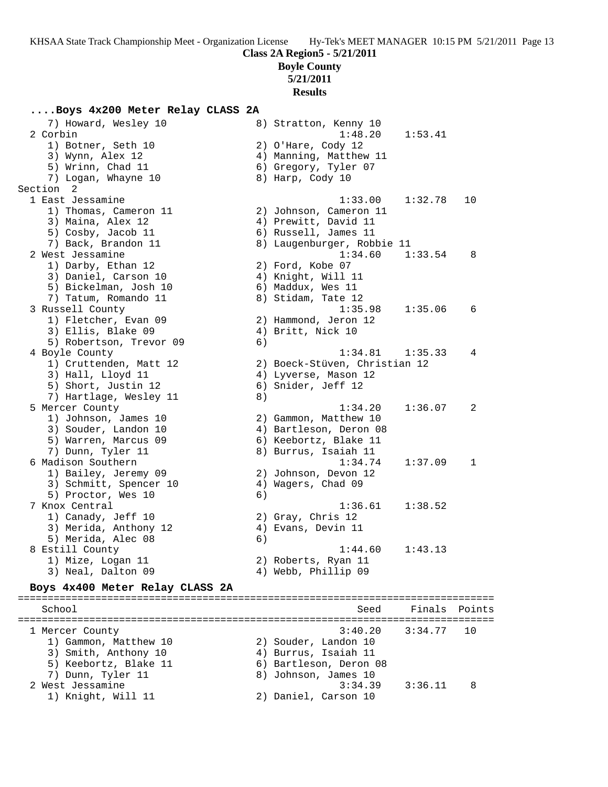### **Class 2A Region5 - 5/21/2011**

**Boyle County**

**5/21/2011**

### **Results**

### **....Boys 4x200 Meter Relay CLASS 2A**

| 7) Howard, Wesley 10                          |    | 8) Stratton, Kenny 10                      |         |        |
|-----------------------------------------------|----|--------------------------------------------|---------|--------|
| 2 Corbin                                      |    | 1:48.20                                    | 1:53.41 |        |
| 1) Botner, Seth 10                            |    | 2) O'Hare, Cody 12                         |         |        |
| 3) Wynn, Alex 12                              |    | 4) Manning, Matthew 11                     |         |        |
| 5) Wrinn, Chad 11                             |    | 6) Gregory, Tyler 07                       |         |        |
| 7) Logan, Whayne 10                           |    | 8) Harp, Cody 10                           |         |        |
| Section 2                                     |    |                                            |         |        |
| 1 East Jessamine                              |    | 1:33.00                                    | 1:32.78 | 10     |
| 1) Thomas, Cameron 11<br>3) Maina, Alex 12    |    | 2) Johnson, Cameron 11                     |         |        |
|                                               |    | 4) Prewitt, David 11                       |         |        |
| 5) Cosby, Jacob 11                            |    | 6) Russell, James 11                       |         |        |
| 7) Back, Brandon 11<br>2 West Jessamine       |    | 8) Laugenburger, Robbie 11<br>1:34.60      |         | 8      |
| 1) Darby, Ethan 12                            |    | 2) Ford, Kobe 07                           | 1:33.54 |        |
|                                               |    |                                            |         |        |
| 3) Daniel, Carson 10<br>5) Bickelman, Josh 10 |    | 4) Knight, Will 11<br>6) Maddux, Wes 11    |         |        |
| 7) Tatum, Romando 11                          |    | 8) Stidam, Tate 12                         |         |        |
| 3 Russell County                              |    | 1:35.98                                    | 1:35.06 | 6      |
| 1) Fletcher, Evan 09                          |    |                                            |         |        |
| 3) Ellis, Blake 09                            |    | 2) Hammond, Jeron 12<br>4) Britt, Nick 10  |         |        |
| 5) Robertson, Trevor 09                       | 6) |                                            |         |        |
| 4 Boyle County                                |    | 1:34.81                                    | 1:35.33 | 4      |
| 1) Cruttenden, Matt 12                        |    | 2) Boeck-Stüven, Christian 12              |         |        |
| 3) Hall, Lloyd 11                             |    |                                            |         |        |
| 5) Short, Justin 12                           |    | 4) Lyverse, Mason 12<br>6) Snider, Jeff 12 |         |        |
| 7) Hartlage, Wesley 11                        | 8) |                                            |         |        |
| 5 Mercer County                               |    | 1:34.20                                    | 1:36.07 | 2      |
| 1) Johnson, James 10                          |    | 2) Gammon, Matthew 10                      |         |        |
| 3) Souder, Landon 10                          |    | 4) Bartleson, Deron 08                     |         |        |
| 5) Warren, Marcus 09                          |    | 6) Keebortz, Blake 11                      |         |        |
| 7) Dunn, Tyler 11                             |    | 8) Burrus, Isaiah 11                       |         |        |
| 6 Madison Southern                            |    | 1:34.74                                    | 1:37.09 | 1      |
| 1) Bailey, Jeremy 09                          |    | 2) Johnson, Devon 12                       |         |        |
| 3) Schmitt, Spencer 10                        |    | 4) Wagers, Chad 09                         |         |        |
| 5) Proctor, Wes 10                            | 6) |                                            |         |        |
| 7 Knox Central                                |    | 1:36.61                                    | 1:38.52 |        |
| 1) Canady, Jeff 10                            |    | 2) Gray, Chris 12                          |         |        |
| 3) Merida, Anthony 12                         |    | 4) Evans, Devin 11                         |         |        |
| 5) Merida, Alec 08                            | 6) |                                            |         |        |
| 8 Estill County                               |    | 1:44.60                                    | 1:43.13 |        |
| 1) Mize, Logan 11                             |    | 2) Roberts, Ryan 11                        |         |        |
| 3) Neal, Dalton 09                            |    | 4) Webb, Phillip 09                        |         |        |
| Boys 4x400 Meter Relay CLASS 2A               |    |                                            |         |        |
|                                               |    |                                            |         |        |
| School                                        |    | Seed                                       | Finals  | Points |
| 1 Mercer County                               |    | 3:40.20                                    | 3:34.77 | 10     |
| 1) Gammon, Matthew 10                         |    | 2) Souder, Landon 10                       |         |        |
| 3) Smith, Anthony 10                          |    | 4) Burrus, Isaiah 11                       |         |        |
| 5) Keebortz, Blake 11                         |    | 6) Bartleson, Deron 08                     |         |        |
| 7) Dunn, Tyler 11                             |    | 8) Johnson, James 10                       |         |        |
| 2 West Jessamine                              |    | 3:34.39                                    | 3:36.11 | 8      |
| 1) Knight, Will 11                            |    | 2) Daniel, Carson 10                       |         |        |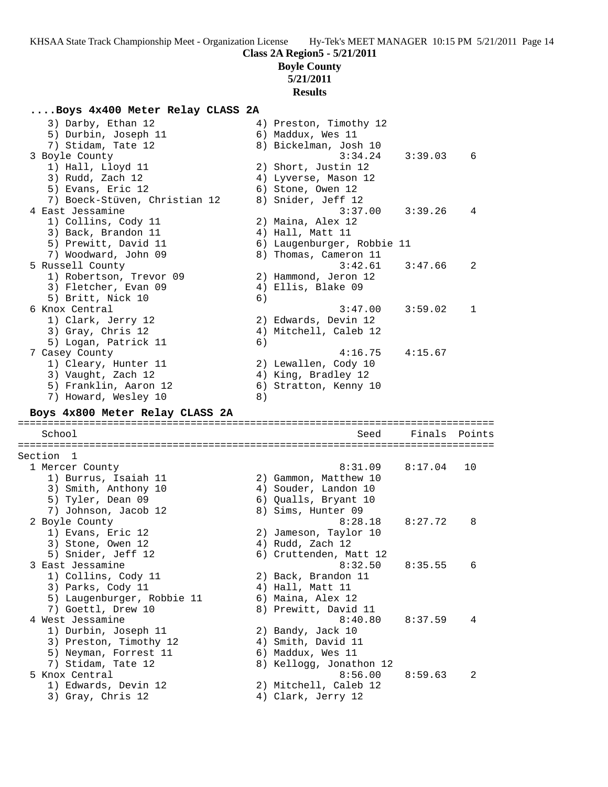# **Class 2A Region5 - 5/21/2011**

# **Boyle County**

# **5/21/2011**

# **Results**

## **....Boys 4x400 Meter Relay CLASS 2A**

| 3) Darby, Ethan 12<br>5) Durbin, Joseph 11 |    | 4) Preston, Timothy 12<br>6) Maddux, Wes 11 |         |        |
|--------------------------------------------|----|---------------------------------------------|---------|--------|
| 7) Stidam, Tate 12                         |    | 8) Bickelman, Josh 10                       |         |        |
| 3 Boyle County                             |    | 3:34.24                                     | 3:39.03 | 6      |
| 1) Hall, Lloyd 11                          |    | 2) Short, Justin 12                         |         |        |
| 3) Rudd, Zach 12                           |    | 4) Lyverse, Mason 12                        |         |        |
| 5) Evans, Eric 12                          |    | 6) Stone, Owen 12                           |         |        |
| 7) Boeck-Stüven, Christian 12              |    | 8) Snider, Jeff 12                          |         |        |
| 4 East Jessamine                           |    | 3:37.00                                     | 3:39.26 | 4      |
| 1) Collins, Cody 11                        |    | 2) Maina, Alex 12                           |         |        |
| 3) Back, Brandon 11                        |    | 4) Hall, Matt 11                            |         |        |
| 5) Prewitt, David 11                       |    | 6) Laugenburger, Robbie 11                  |         |        |
| 7) Woodward, John 09                       |    | 8) Thomas, Cameron 11                       |         |        |
| 5 Russell County                           |    | 3:42.61                                     | 3:47.66 | 2      |
| 1) Robertson, Trevor 09                    |    | 2) Hammond, Jeron 12                        |         |        |
| 3) Fletcher, Evan 09                       |    | 4) Ellis, Blake 09                          |         |        |
| 5) Britt, Nick 10                          | 6) |                                             |         |        |
| 6 Knox Central                             |    | 3:47.00                                     | 3:59.02 | 1      |
| 1) Clark, Jerry 12                         |    | 2) Edwards, Devin 12                        |         |        |
| 3) Gray, Chris 12                          |    | 4) Mitchell, Caleb 12                       |         |        |
| 5) Logan, Patrick 11                       | 6) |                                             |         |        |
| 7 Casey County                             |    | 4:16.75                                     | 4:15.67 |        |
| 1) Cleary, Hunter 11                       |    | 2) Lewallen, Cody 10                        |         |        |
| 3) Vaught, Zach 12                         |    | 4) King, Bradley 12                         |         |        |
| 5) Franklin, Aaron 12                      |    | 6) Stratton, Kenny 10                       |         |        |
| 7) Howard, Wesley 10                       | 8) |                                             |         |        |
|                                            |    |                                             |         |        |
| Boys 4x800 Meter Relay CLASS 2A            |    |                                             |         |        |
| School                                     |    | Seed                                        | Finals  | Points |
|                                            |    |                                             |         |        |
| Section 1                                  |    |                                             |         | 10     |
| 1 Mercer County                            |    | 8:31.09                                     | 8:17.04 |        |
| 1) Burrus, Isaiah 11                       |    | 2) Gammon, Matthew 10                       |         |        |
| 3) Smith, Anthony 10                       |    | 4) Souder, Landon 10                        |         |        |
| 5) Tyler, Dean 09<br>7) Johnson, Jacob 12  |    | 6) Qualls, Bryant 10                        |         |        |
| 2 Boyle County                             |    | 8) Sims, Hunter 09<br>8:28.18               | 8:27.72 | 8      |
|                                            |    |                                             |         |        |
| 1) Evans, Eric 12                          |    | 2) Jameson, Taylor 10                       |         |        |
| 3) Stone, Owen 12                          |    | 4) Rudd, Zach 12                            |         |        |
| 5) Snider, Jeff 12                         |    | 6) Cruttenden, Matt 12                      |         | 6      |
| 3 East Jessamine                           |    | 8:32.50                                     | 8:35.55 |        |
| 1) Collins, Cody 11                        |    | 2) Back, Brandon 11                         |         |        |
| 3) Parks, Cody 11                          |    | 4) Hall, Matt 11                            |         |        |
| 5) Laugenburger, Robbie 11                 |    | 6) Maina, Alex 12                           |         |        |
| 7) Goettl, Drew 10<br>4 West Jessamine     |    | 8) Prewitt, David 11                        | 8:37.59 | 4      |
|                                            |    | 8:40.80                                     |         |        |
| 1) Durbin, Joseph 11                       |    | 2) Bandy, Jack 10                           |         |        |
| 3) Preston, Timothy 12                     |    | 4) Smith, David 11                          |         |        |
| 5) Neyman, Forrest 11                      |    | 6) Maddux, Wes 11                           |         |        |
| 7) Stidam, Tate 12<br>5 Knox Central       |    | 8) Kellogg, Jonathon 12                     | 8:59.63 | 2      |
|                                            |    | 8:56.00                                     |         |        |
| 1) Edwards, Devin 12<br>3) Gray, Chris 12  |    | 2) Mitchell, Caleb 12<br>4) Clark, Jerry 12 |         |        |